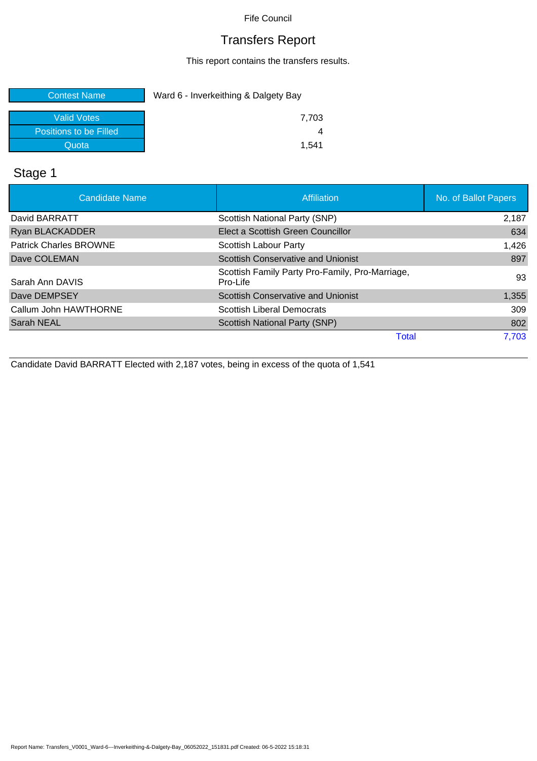## Transfers Report

This report contains the transfers results.

| <b>Contest Name</b>    | Ward 6 - Inverkeithing & Dalgety Bay |  |
|------------------------|--------------------------------------|--|
| <b>Valid Votes</b>     | 7.703                                |  |
| Positions to be Filled |                                      |  |
| Quotal                 | 1.541                                |  |

## Stage 1

| <b>Candidate Name</b>         | Affiliation                                                 | No. of Ballot Papers |
|-------------------------------|-------------------------------------------------------------|----------------------|
| David BARRATT                 | Scottish National Party (SNP)                               | 2,187                |
| <b>Ryan BLACKADDER</b>        | Elect a Scottish Green Councillor                           | 634                  |
| <b>Patrick Charles BROWNE</b> | Scottish Labour Party                                       | 1,426                |
| Dave COLEMAN                  | <b>Scottish Conservative and Unionist</b>                   | 897                  |
| Sarah Ann DAVIS               | Scottish Family Party Pro-Family, Pro-Marriage,<br>Pro-Life | 93                   |
| Dave DEMPSEY                  | <b>Scottish Conservative and Unionist</b>                   | 1,355                |
| Callum John HAWTHORNE         | <b>Scottish Liberal Democrats</b>                           | 309                  |
| Sarah NEAL                    | <b>Scottish National Party (SNP)</b>                        | 802                  |
|                               | Total                                                       | 7.703                |

Candidate David BARRATT Elected with 2,187 votes, being in excess of the quota of 1,541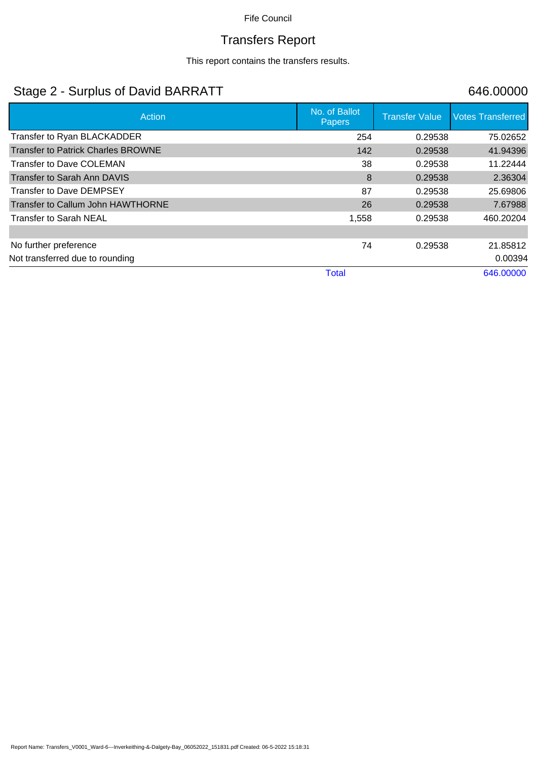# Transfers Report

This report contains the transfers results.

## Stage 2 - Surplus of David BARRATT 646.00000

| Action                                    | No. of Ballot<br><b>Papers</b> | <b>Transfer Value</b> | <b>Votes Transferred</b> |
|-------------------------------------------|--------------------------------|-----------------------|--------------------------|
| Transfer to Ryan BLACKADDER               | 254                            | 0.29538               | 75.02652                 |
| <b>Transfer to Patrick Charles BROWNE</b> | 142                            | 0.29538               | 41.94396                 |
| Transfer to Dave COLEMAN                  | 38                             | 0.29538               | 11.22444                 |
| Transfer to Sarah Ann DAVIS               | 8                              | 0.29538               | 2.36304                  |
| Transfer to Dave DEMPSEY                  | 87                             | 0.29538               | 25.69806                 |
| Transfer to Callum John HAWTHORNE         | 26                             | 0.29538               | 7.67988                  |
| <b>Transfer to Sarah NEAL</b>             | 1,558                          | 0.29538               | 460.20204                |
|                                           |                                |                       |                          |
| No further preference                     | 74                             | 0.29538               | 21.85812                 |
| Not transferred due to rounding           |                                |                       | 0.00394                  |
|                                           | <b>Total</b>                   |                       | 646.00000                |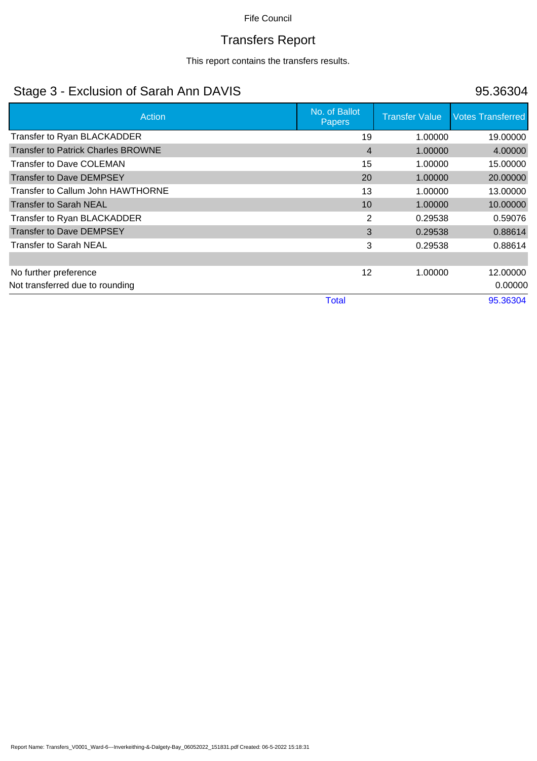# Transfers Report

This report contains the transfers results.

## Stage 3 - Exclusion of Sarah Ann DAVIS 86304

| Action                                    | No. of Ballot<br><b>Papers</b> | <b>Transfer Value</b> | <b>Votes Transferred</b> |
|-------------------------------------------|--------------------------------|-----------------------|--------------------------|
| Transfer to Ryan BLACKADDER               | 19                             | 1.00000               | 19.00000                 |
| <b>Transfer to Patrick Charles BROWNE</b> | $\overline{4}$                 | 1.00000               | 4.00000                  |
| <b>Transfer to Dave COLEMAN</b>           | 15                             | 1.00000               | 15.00000                 |
| Transfer to Dave DEMPSEY                  | 20                             | 1.00000               | 20.00000                 |
| Transfer to Callum John HAWTHORNE         | 13                             | 1.00000               | 13.00000                 |
| <b>Transfer to Sarah NEAL</b>             | 10                             | 1.00000               | 10.00000                 |
| Transfer to Ryan BLACKADDER               | 2                              | 0.29538               | 0.59076                  |
| Transfer to Dave DEMPSEY                  | 3                              | 0.29538               | 0.88614                  |
| <b>Transfer to Sarah NEAL</b>             | 3                              | 0.29538               | 0.88614                  |
|                                           |                                |                       |                          |
| No further preference                     | 12                             | 1.00000               | 12.00000                 |
| Not transferred due to rounding           |                                |                       | 0.00000                  |
|                                           | <b>Total</b>                   |                       | 95.36304                 |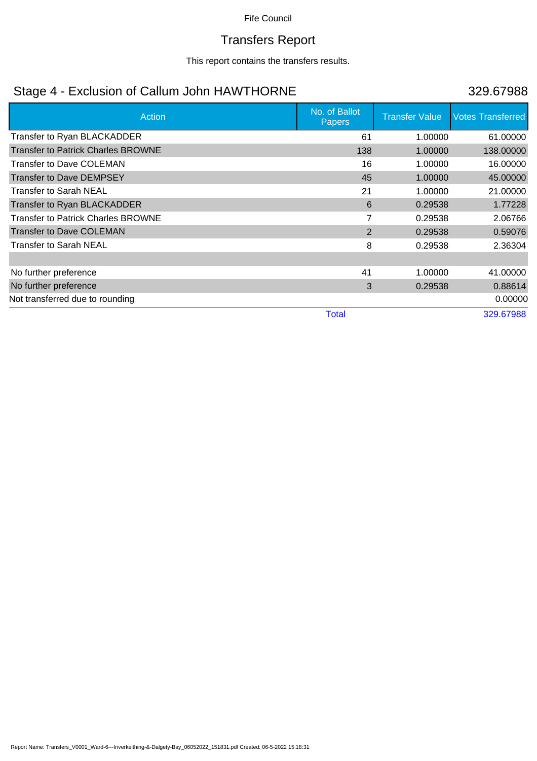# Transfers Report

This report contains the transfers results.

## Stage 4 - Exclusion of Callum John HAWTHORNE 329.67988

| Action                                    | No. of Ballot<br><b>Papers</b> | <b>Transfer Value</b> | <b>Votes Transferred</b> |
|-------------------------------------------|--------------------------------|-----------------------|--------------------------|
| Transfer to Ryan BLACKADDER               | 61                             | 1.00000               | 61.00000                 |
| <b>Transfer to Patrick Charles BROWNE</b> | 138                            | 1.00000               | 138.00000                |
| Transfer to Dave COLEMAN                  | 16                             | 1.00000               | 16.00000                 |
| <b>Transfer to Dave DEMPSEY</b>           | 45                             | 1.00000               | 45.00000                 |
| Transfer to Sarah NEAL                    | 21                             | 1.00000               | 21.00000                 |
| Transfer to Ryan BLACKADDER               | 6                              | 0.29538               | 1.77228                  |
| <b>Transfer to Patrick Charles BROWNE</b> | 7                              | 0.29538               | 2.06766                  |
| <b>Transfer to Dave COLEMAN</b>           | 2                              | 0.29538               | 0.59076                  |
| <b>Transfer to Sarah NEAL</b>             | 8                              | 0.29538               | 2.36304                  |
|                                           |                                |                       |                          |
| No further preference                     | 41                             | 1.00000               | 41.00000                 |
| No further preference                     | 3                              | 0.29538               | 0.88614                  |
| Not transferred due to rounding           |                                |                       | 0.00000                  |
|                                           | <b>Total</b>                   |                       | 329.67988                |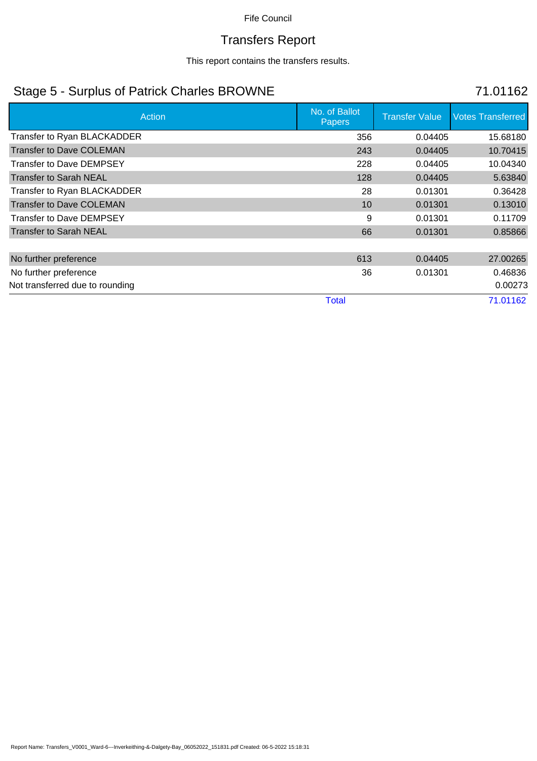# Transfers Report

This report contains the transfers results.

## Stage 5 - Surplus of Patrick Charles BROWNE 71.01162

| <b>Action</b>                   | No. of Ballot<br><b>Papers</b> | <b>Transfer Value</b> | <b>Votes Transferred</b> |
|---------------------------------|--------------------------------|-----------------------|--------------------------|
| Transfer to Ryan BLACKADDER     | 356                            | 0.04405               | 15.68180                 |
| <b>Transfer to Dave COLEMAN</b> | 243                            | 0.04405               | 10.70415                 |
| <b>Transfer to Dave DEMPSEY</b> | 228                            | 0.04405               | 10.04340                 |
| <b>Transfer to Sarah NEAL</b>   | 128                            | 0.04405               | 5.63840                  |
| Transfer to Ryan BLACKADDER     | 28                             | 0.01301               | 0.36428                  |
| <b>Transfer to Dave COLEMAN</b> | 10                             | 0.01301               | 0.13010                  |
| <b>Transfer to Dave DEMPSEY</b> | 9                              | 0.01301               | 0.11709                  |
| Transfer to Sarah NEAL          | 66                             | 0.01301               | 0.85866                  |
|                                 |                                |                       |                          |
| No further preference           | 613                            | 0.04405               | 27.00265                 |
| No further preference           | 36                             | 0.01301               | 0.46836                  |
| Not transferred due to rounding |                                |                       | 0.00273                  |
|                                 | <b>Total</b>                   |                       | 71.01162                 |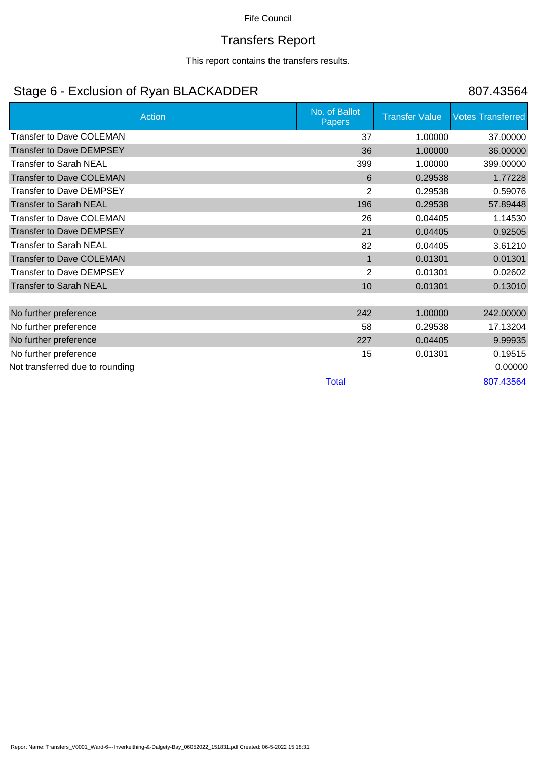# Transfers Report

This report contains the transfers results.

## Stage 6 - Exclusion of Ryan BLACKADDER 807.43564

|                                 | No. of Ballot  |                       |                          |
|---------------------------------|----------------|-----------------------|--------------------------|
| Action                          | <b>Papers</b>  | <b>Transfer Value</b> | <b>Votes Transferred</b> |
| <b>Transfer to Dave COLEMAN</b> | 37             | 1.00000               | 37.00000                 |
| <b>Transfer to Dave DEMPSEY</b> | 36             | 1.00000               | 36.00000                 |
| <b>Transfer to Sarah NEAL</b>   | 399            | 1.00000               | 399.00000                |
| <b>Transfer to Dave COLEMAN</b> | 6              | 0.29538               | 1.77228                  |
| Transfer to Dave DEMPSEY        | $\overline{2}$ | 0.29538               | 0.59076                  |
| <b>Transfer to Sarah NEAL</b>   | 196            | 0.29538               | 57.89448                 |
| <b>Transfer to Dave COLEMAN</b> | 26             | 0.04405               | 1.14530                  |
| <b>Transfer to Dave DEMPSEY</b> | 21             | 0.04405               | 0.92505                  |
| <b>Transfer to Sarah NEAL</b>   | 82             | 0.04405               | 3.61210                  |
| <b>Transfer to Dave COLEMAN</b> | $\mathbf{1}$   | 0.01301               | 0.01301                  |
| <b>Transfer to Dave DEMPSEY</b> | 2              | 0.01301               | 0.02602                  |
| <b>Transfer to Sarah NEAL</b>   | 10             | 0.01301               | 0.13010                  |
|                                 |                |                       |                          |
| No further preference           | 242            | 1.00000               | 242.00000                |
| No further preference           | 58             | 0.29538               | 17.13204                 |
| No further preference           | 227            | 0.04405               | 9.99935                  |
| No further preference           | 15             | 0.01301               | 0.19515                  |
| Not transferred due to rounding |                |                       | 0.00000                  |
|                                 | <b>Total</b>   |                       | 807.43564                |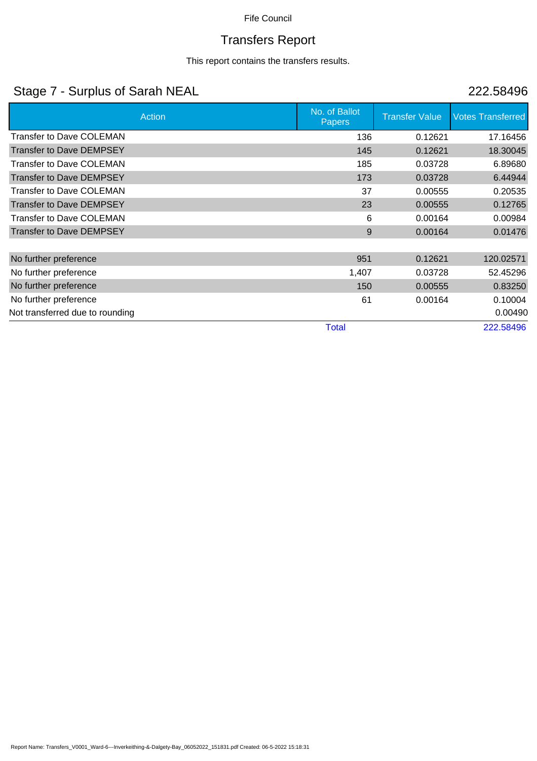# Transfers Report

### This report contains the transfers results.

## Stage 7 - Surplus of Sarah NEAL 222.58496

| Action                          | No. of Ballot<br><b>Papers</b> | <b>Transfer Value</b> | <b>Votes Transferred</b> |
|---------------------------------|--------------------------------|-----------------------|--------------------------|
| <b>Transfer to Dave COLEMAN</b> | 136                            | 0.12621               | 17.16456                 |
| <b>Transfer to Dave DEMPSEY</b> | 145                            | 0.12621               | 18.30045                 |
| <b>Transfer to Dave COLEMAN</b> | 185                            | 0.03728               | 6.89680                  |
| <b>Transfer to Dave DEMPSEY</b> | 173                            | 0.03728               | 6.44944                  |
| <b>Transfer to Dave COLEMAN</b> | 37                             | 0.00555               | 0.20535                  |
| <b>Transfer to Dave DEMPSEY</b> | 23                             | 0.00555               | 0.12765                  |
| <b>Transfer to Dave COLEMAN</b> | 6                              | 0.00164               | 0.00984                  |
| <b>Transfer to Dave DEMPSEY</b> | 9                              | 0.00164               | 0.01476                  |
|                                 |                                |                       |                          |
| No further preference           | 951                            | 0.12621               | 120.02571                |
| No further preference           | 1,407                          | 0.03728               | 52.45296                 |
| No further preference           | 150                            | 0.00555               | 0.83250                  |
| No further preference           | 61                             | 0.00164               | 0.10004                  |
| Not transferred due to rounding |                                |                       | 0.00490                  |
|                                 | <b>Total</b>                   |                       | 222.58496                |